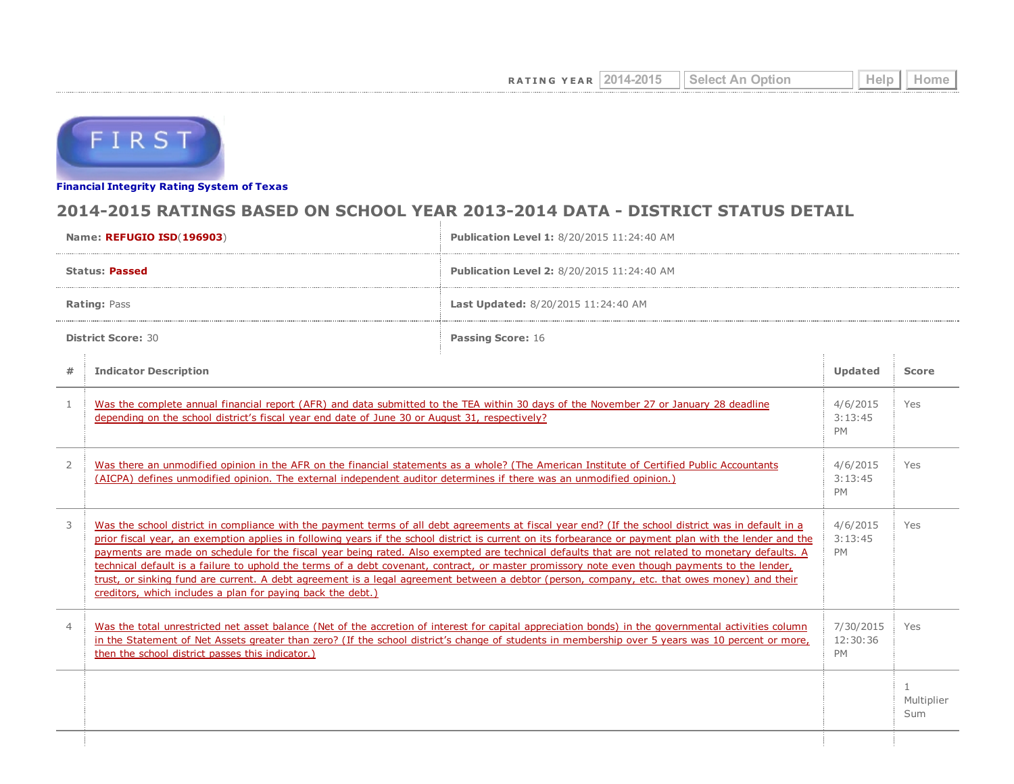

Financial [Integrity](http://tea4avwaylon.tea.state.tx.us/First/forms/main.aspx) Rating System of Texas

## 2014-2015 RATINGS BASED ON SCHOOL YEAR 2013-2014 DATA - DISTRICT STATUS DETAIL

| Name: REFUGIO ISD(196903) |                                                                                                                                                                                                                                                                                                                                                                                                                                                                                                                                                                                                                                                                                                                                                                                                                                     | Publication Level 1: 8/20/2015 11:24:40 AM                                                                                                                                                                                                                                                                |                                    |                         |
|---------------------------|-------------------------------------------------------------------------------------------------------------------------------------------------------------------------------------------------------------------------------------------------------------------------------------------------------------------------------------------------------------------------------------------------------------------------------------------------------------------------------------------------------------------------------------------------------------------------------------------------------------------------------------------------------------------------------------------------------------------------------------------------------------------------------------------------------------------------------------|-----------------------------------------------------------------------------------------------------------------------------------------------------------------------------------------------------------------------------------------------------------------------------------------------------------|------------------------------------|-------------------------|
| <b>Status: Passed</b>     |                                                                                                                                                                                                                                                                                                                                                                                                                                                                                                                                                                                                                                                                                                                                                                                                                                     | Publication Level 2: 8/20/2015 11:24:40 AM                                                                                                                                                                                                                                                                |                                    |                         |
| <b>Rating: Pass</b>       |                                                                                                                                                                                                                                                                                                                                                                                                                                                                                                                                                                                                                                                                                                                                                                                                                                     | Last Updated: 8/20/2015 11:24:40 AM                                                                                                                                                                                                                                                                       |                                    |                         |
| <b>District Score: 30</b> |                                                                                                                                                                                                                                                                                                                                                                                                                                                                                                                                                                                                                                                                                                                                                                                                                                     | <b>Passing Score: 16</b>                                                                                                                                                                                                                                                                                  |                                    |                         |
| #                         | <b>Indicator Description</b>                                                                                                                                                                                                                                                                                                                                                                                                                                                                                                                                                                                                                                                                                                                                                                                                        |                                                                                                                                                                                                                                                                                                           | <b>Updated</b>                     | <b>Score</b>            |
| $\mathbf{1}$              | Was the complete annual financial report (AFR) and data submitted to the TEA within 30 days of the November 27 or January 28 deadline<br>depending on the school district's fiscal year end date of June 30 or August 31, respectively?                                                                                                                                                                                                                                                                                                                                                                                                                                                                                                                                                                                             |                                                                                                                                                                                                                                                                                                           | 4/6/2015<br>3:13:45<br><b>PM</b>   | Yes                     |
| 2                         | Was there an unmodified opinion in the AFR on the financial statements as a whole? (The American Institute of Certified Public Accountants<br>(AICPA) defines unmodified opinion. The external independent auditor determines if there was an unmodified opinion.)                                                                                                                                                                                                                                                                                                                                                                                                                                                                                                                                                                  |                                                                                                                                                                                                                                                                                                           | 4/6/2015<br>3:13:45<br><b>PM</b>   | <b>Yes</b>              |
| 3                         | Was the school district in compliance with the payment terms of all debt agreements at fiscal year end? (If the school district was in default in a<br>prior fiscal year, an exemption applies in following years if the school district is current on its forbearance or payment plan with the lender and the<br>payments are made on schedule for the fiscal year being rated. Also exempted are technical defaults that are not related to monetary defaults. A<br>technical default is a failure to uphold the terms of a debt covenant, contract, or master promissory note even though payments to the lender,<br>trust, or sinking fund are current. A debt agreement is a legal agreement between a debtor (person, company, etc. that owes money) and their<br>creditors, which includes a plan for paying back the debt.) |                                                                                                                                                                                                                                                                                                           | 4/6/2015<br>3:13:45<br><b>PM</b>   | Yes                     |
| $\overline{4}$            | then the school district passes this indicator.)                                                                                                                                                                                                                                                                                                                                                                                                                                                                                                                                                                                                                                                                                                                                                                                    | Was the total unrestricted net asset balance (Net of the accretion of interest for capital appreciation bonds) in the governmental activities column<br>in the Statement of Net Assets greater than zero? (If the school district's change of students in membership over 5 years was 10 percent or more, | 7/30/2015<br>12:30:36<br><b>PM</b> | Yes                     |
|                           |                                                                                                                                                                                                                                                                                                                                                                                                                                                                                                                                                                                                                                                                                                                                                                                                                                     |                                                                                                                                                                                                                                                                                                           |                                    | -1<br>Multiplier<br>Sum |
|                           |                                                                                                                                                                                                                                                                                                                                                                                                                                                                                                                                                                                                                                                                                                                                                                                                                                     |                                                                                                                                                                                                                                                                                                           |                                    |                         |